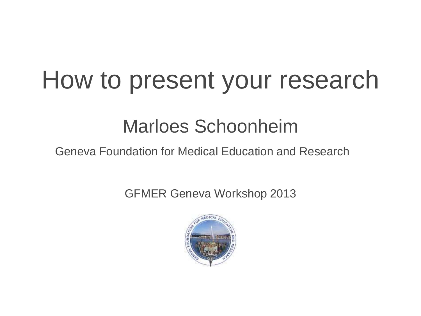#### How to present your research

#### Marloes Schoonheim

Geneva Foundation for Medical Education and Research

GFMER Geneva Workshop 2013

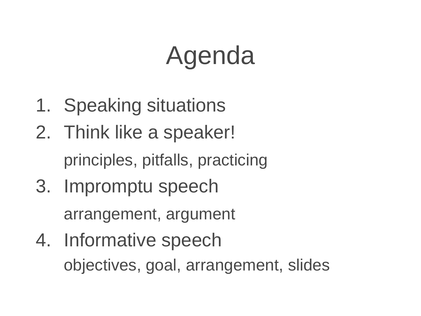### Agenda

- 1. Speaking situations
- 2. Think like a speaker! principles, pitfalls, practicing
- 3. Impromptu speech arrangement, argument
- 4. Informative speech objectives, goal, arrangement, slides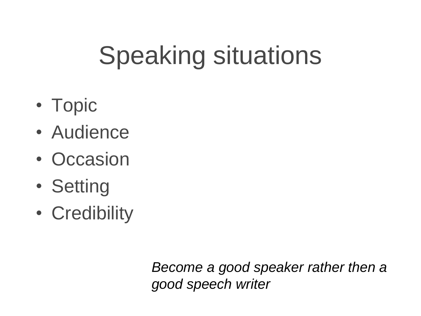# Speaking situations

- Topic
- Audience
- Occasion
- Setting
- Credibility

*Become a good speaker rather then a good speech writer*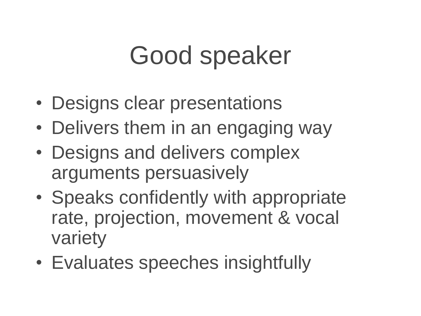### Good speaker

- Designs clear presentations
- Delivers them in an engaging way
- Designs and delivers complex arguments persuasively
- Speaks confidently with appropriate rate, projection, movement & vocal variety
- Evaluates speeches insightfully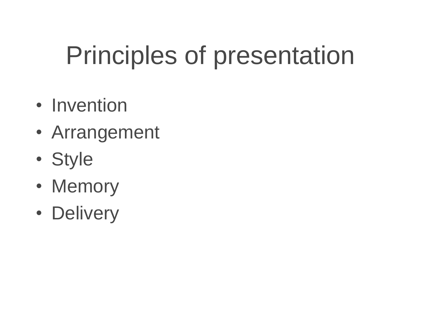# Principles of presentation

- Invention
- Arrangement
- Style
- Memory
- Delivery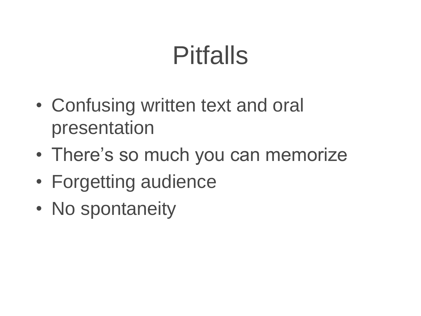#### Pitfalls

- Confusing written text and oral presentation
- There's so much you can memorize
- Forgetting audience
- No spontaneity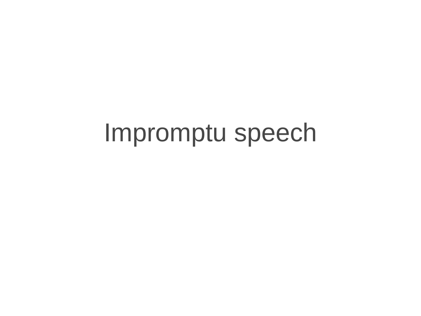#### Impromptu speech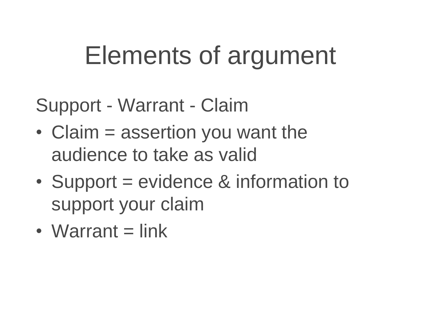#### Elements of argument

Support - Warrant - Claim

- Claim = assertion you want the audience to take as valid
- Support = evidence & information to support your claim
- $\bullet$  Warrant = link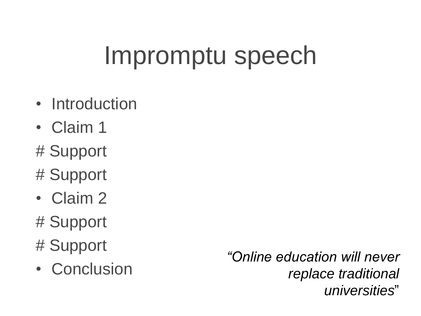### Impromptu speech

- Introduction
- Claim 1
- # Support
- # Support
- Claim 2
- # Support
- # Support
- Conclusion

*"Online education will never replace traditional universities*"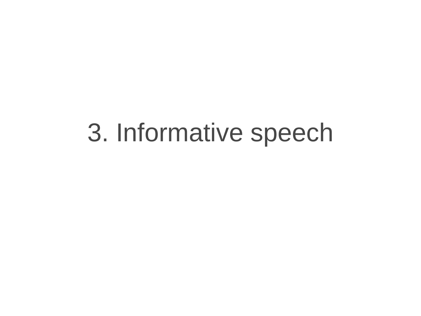#### 3. Informative speech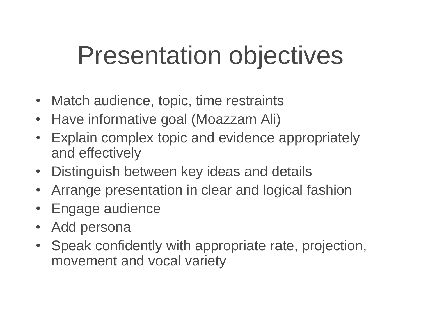#### Presentation objectives

- Match audience, topic, time restraints
- Have informative goal (Moazzam Ali)
- Explain complex topic and evidence appropriately and effectively
- Distinguish between key ideas and details
- Arrange presentation in clear and logical fashion
- Engage audience
- Add persona
- Speak confidently with appropriate rate, projection, movement and vocal variety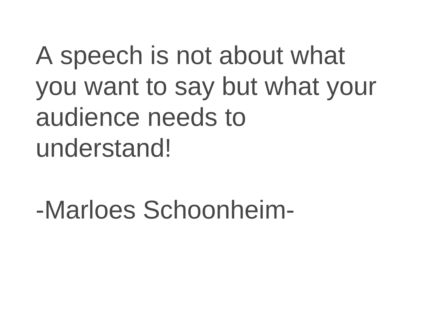A speech is not about what you want to say but what your audience needs to understand!

-Marloes Schoonheim-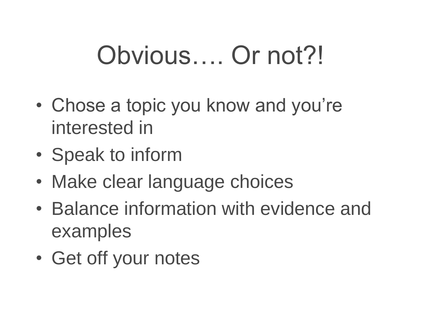### Obvious…. Or not?!

- Chose a topic you know and you're interested in
- Speak to inform
- Make clear language choices
- Balance information with evidence and examples
- Get off your notes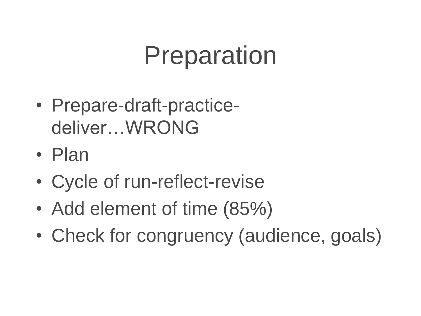#### Preparation

- Prepare-draft-practicedeliver…WRONG
- Plan
- Cycle of run-reflect-revise
- Add element of time (85%)
- Check for congruency (audience, goals)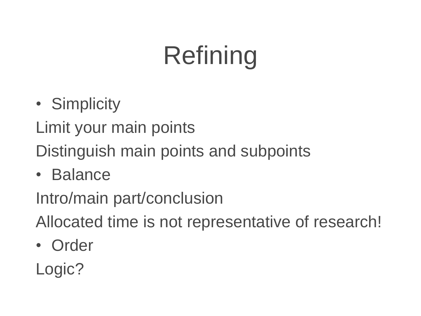# Refining

- Simplicity
- Limit your main points
- Distinguish main points and subpoints
- Balance

Intro/main part/conclusion

Allocated time is not representative of research!

• Order

Logic?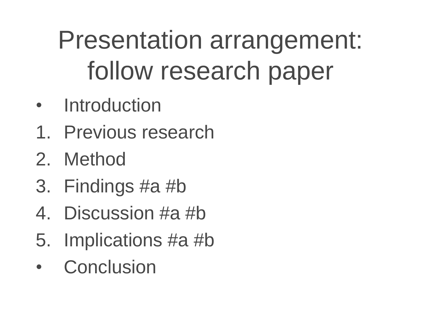# Presentation arrangement: follow research paper

- Introduction
- 1. Previous research
- 2. Method
- 3. Findings #a #b
- 4. Discussion #a #b
- 5. Implications #a #b
- **Conclusion**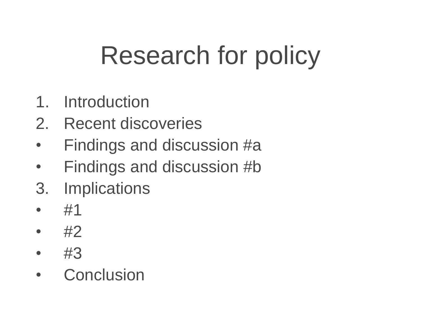# Research for policy

- 1. Introduction
- 2. Recent discoveries
- Findings and discussion #a
- Findings and discussion #b
- 3. Implications
- #1
- $\#2$
- #3
- Conclusion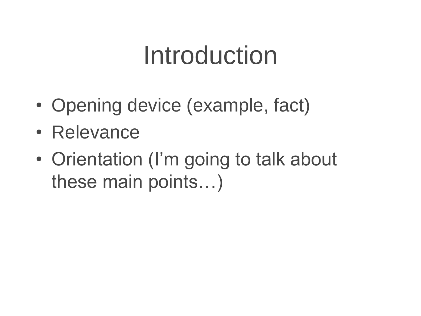#### Introduction

- Opening device (example, fact)
- Relevance
- Orientation (I'm going to talk about these main points…)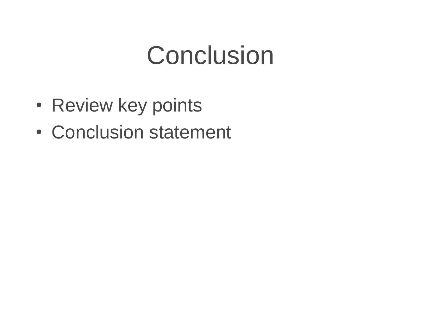#### **Conclusion**

- Review key points
- Conclusion statement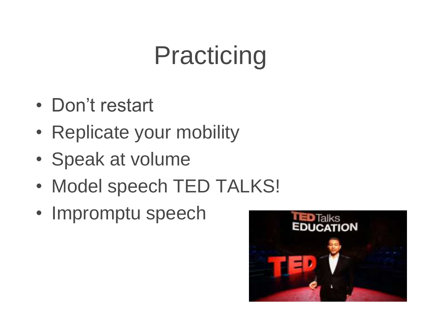# Practicing

- Don't restart
- Replicate your mobility
- Speak at volume
- Model speech TED TALKS!
- Impromptu speech

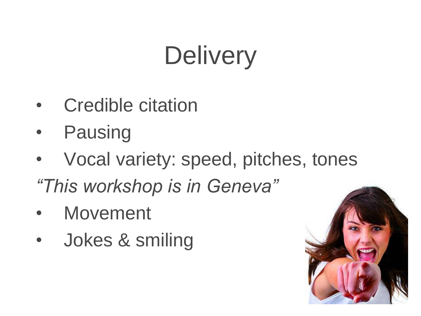## **Delivery**

- Credible citation
- **Pausing**
- Vocal variety: speed, pitches, tones *"This workshop is in Geneva"*
- **Movement**
- Jokes & smiling

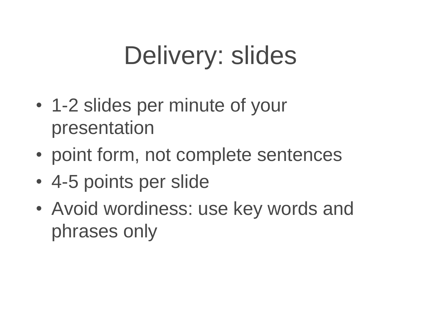# Delivery: slides

- 1-2 slides per minute of your presentation
- point form, not complete sentences
- 4-5 points per slide
- Avoid wordiness: use key words and phrases only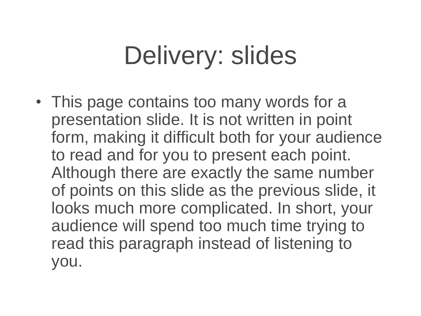# Delivery: slides

• This page contains too many words for a presentation slide. It is not written in point form, making it difficult both for your audience to read and for you to present each point. Although there are exactly the same number of points on this slide as the previous slide, it looks much more complicated. In short, your audience will spend too much time trying to read this paragraph instead of listening to you.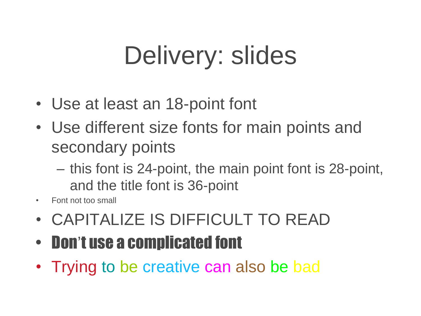# Delivery: slides

- Use at least an 18-point font
- Use different size fonts for main points and secondary points
	- this font is 24-point, the main point font is 28-point, and the title font is 36-point
- Font not too small
- CAPITALIZE IS DIFFICULT TO READ
- Don't use a complicated font
- Trying to be creative can also be bad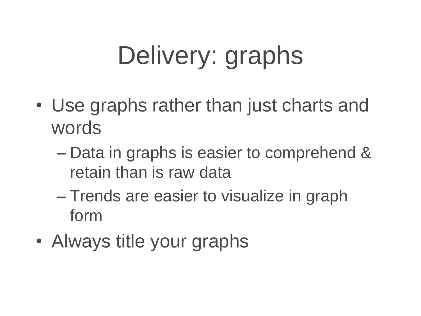# Delivery: graphs

- Use graphs rather than just charts and words
	- Data in graphs is easier to comprehend & retain than is raw data
	- Trends are easier to visualize in graph form
- Always title your graphs